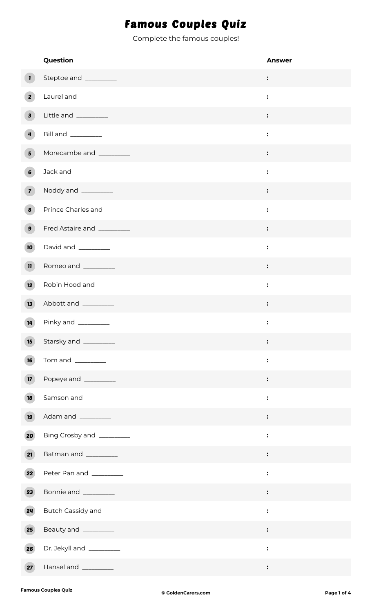## Famous Couples Quiz

Complete the famous couples!

|                         | Question                     | <b>Answer</b>  |
|-------------------------|------------------------------|----------------|
| $\mathbf{1}$            | Steptoe and _________        | :              |
| $\overline{\mathbf{2}}$ | Laurel and _________         | :              |
| $\mathbf{3}$            | Little and _________         | :              |
| $\overline{4}$          | Bill and ________            | $\ddot{\cdot}$ |
| 5 <sup>1</sup>          | Morecambe and _________      | :              |
| $\boldsymbol{6}$        | Jack and __________          | :              |
| $\overline{z}$          | Noddy and _______            |                |
| $\boldsymbol{8}$        | Prince Charles and _________ | $\ddot{\cdot}$ |
| $\mathbf{9}$            | Fred Astaire and _________   | $\ddot{\cdot}$ |
| 10 <sup>°</sup>         | David and _________          | $\ddot{\cdot}$ |
| $\mathbf{n}$            | Romeo and _________          | :              |
| 12 <sup>7</sup>         | Robin Hood and _________     | $\ddot{\cdot}$ |
| 13                      | Abbott and __________        | :              |
| 14                      | Pinky and ________           | $\ddot{\cdot}$ |
| 15                      | Starsky and _________        | $\ddot{\cdot}$ |
| 16                      |                              | $\ddot{\cdot}$ |
| 17 <sup>2</sup>         | Popeye and _________         | $\ddot{\cdot}$ |
| 18                      | Samson and __________        | :              |
| 19                      | Adam and __________          |                |
| 20                      | Bing Crosby and _________    | :              |
| 21                      | Batman and _________         | $\ddot{\cdot}$ |
| 22                      | Peter Pan and _________      | $\ddot{\cdot}$ |
| 23                      | Bonnie and _________         | $\ddot{\cdot}$ |
| 24                      | Butch Cassidy and _________  | $\ddot{\cdot}$ |
| 25                      | Beauty and _________         |                |
| 26                      | Dr. Jekyll and _________     | $\ddot{\cdot}$ |
| 27                      | Hansel and __________        | $\ddot{\cdot}$ |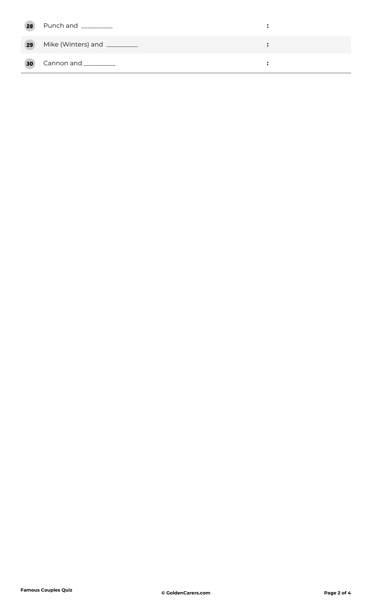| 28              | Punch and _________          |  |
|-----------------|------------------------------|--|
| $\boxed{29}$    | Mike (Winters) and _________ |  |
| 30 <sup>°</sup> | Cannon and __________        |  |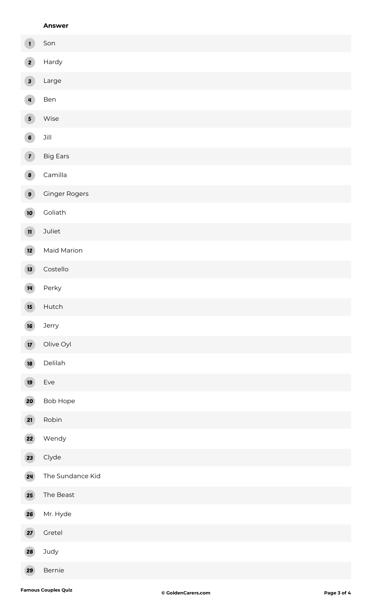## **Answer**

| $\mathbf{1}$            | Son                  |
|-------------------------|----------------------|
| $\overline{2}$          | Hardy                |
| $\overline{\mathbf{3}}$ | Large                |
| $\overline{4}$          | Ben                  |
| $\overline{5}$          | Wise                 |
| $\overline{6}$          | $\mathsf{Jill}$      |
| $\overline{7}$          | <b>Big Ears</b>      |
| 8                       | Camilla              |
| $\overline{9}$          | <b>Ginger Rogers</b> |
| 10                      | Goliath              |
| $\mathbf{n}$            | Juliet               |
| 12                      | Maid Marion          |
| 13                      | Costello             |
| 14                      | Perky                |
| 15 <sup>2</sup>         | Hutch                |
| 16                      | Jerry                |
| $\overline{17}$         | Olive Oyl            |
| 18                      | Delilah              |
| 19                      | Eve                  |
| 20                      | Bob Hope             |
| 21                      | Robin                |
| 22                      | Wendy                |
| 23                      | Clyde                |
| 24                      | The Sundance Kid     |
| 25                      | The Beast            |
| 26                      | Mr. Hyde             |
| 27                      | Gretel               |
| 28                      | Judy                 |

Bernie